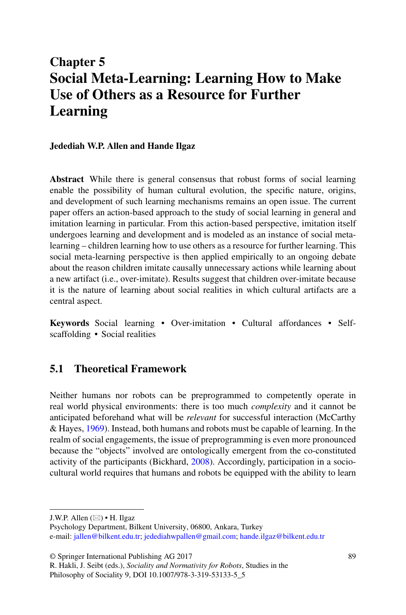# **Chapter 5 Social Meta-Learning: Learning How to Make Use of Others as a Resource for Further Learning**

## **Jedediah W.P. Allen and Hande Ilgaz**

**Abstract** While there is general consensus that robust forms of social learning enable the possibility of human cultural evolution, the specific nature, origins, and development of such learning mechanisms remains an open issue. The current paper offers an action-based approach to the study of social learning in general and imitation learning in particular. From this action-based perspective, imitation itself undergoes learning and development and is modeled as an instance of social metalearning – children learning how to use others as a resource for further learning. This social meta-learning perspective is then applied empirically to an ongoing debate about the reason children imitate causally unnecessary actions while learning about a new artifact (i.e., over-imitate). Results suggest that children over-imitate because it is the nature of learning about social realities in which cultural artifacts are a central aspect.

**Keywords** Social learning • Over-imitation • Cultural affordances • Selfscaffolding • Social realities

# **5.1 Theoretical Framework**

Neither humans nor robots can be preprogrammed to competently operate in real world physical environments: there is too much *complexity* and it cannot be anticipated beforehand what will be *relevant* for successful interaction (McCarthy & Hayes, [1969\)](#page-23-0). Instead, both humans and robots must be capable of learning. In the realm of social engagements, the issue of preprogramming is even more pronounced because the "objects" involved are ontologically emergent from the co-constituted activity of the participants (Bickhard, [2008\)](#page-22-0). Accordingly, participation in a sociocultural world requires that humans and robots be equipped with the ability to learn

J.W.P. Allen (⊠) • H. Ilgaz

Psychology Department, Bilkent University, 06800, Ankara, Turkey e-mail: [jallen@bilkent.edu.tr;](mailto:jallen@bilkent.edu.tr) [jedediahwpallen@gmail.com;](mailto:jedediahwpallen@gmail.com) [hande.ilgaz@bilkent.edu.tr](mailto:hande.ilgaz@bilkent.edu.tr)

<sup>©</sup> Springer International Publishing AG 2017

R. Hakli, J. Seibt (eds.), *Sociality and Normativity for Robots*, Studies in the Philosophy of Sociality 9, DOI 10.1007/978-3-319-53133-5\_5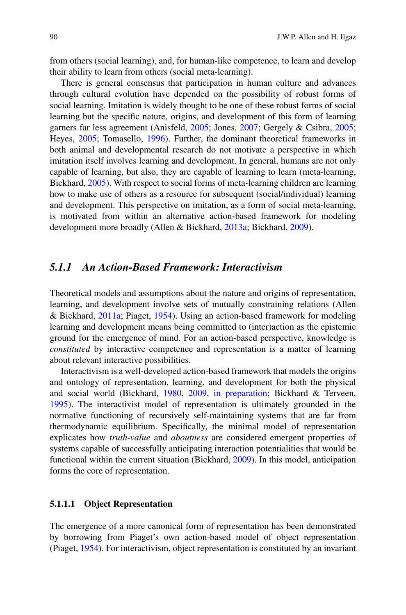from others (social learning), and, for human-like competence, to learn and develop their ability to learn from others (social meta-learning).

There is general consensus that participation in human culture and advances through cultural evolution have depended on the possibility of robust forms of social learning. Imitation is widely thought to be one of these robust forms of social learning but the specific nature, origins, and development of this form of learning garners far less agreement (Anisfeld, [2005;](#page-22-1) Jones, [2007;](#page-23-1) Gergely & Csibra, [2005;](#page-23-2) Heyes, [2005;](#page-23-3) Tomasello, [1996\)](#page-24-0). Further, the dominant theoretical frameworks in both animal and developmental research do not motivate a perspective in which imitation itself involves learning and development. In general, humans are not only capable of learning, but also, they are capable of learning to learn (meta-learning, Bickhard, [2005\)](#page-22-2). With respect to social forms of meta-learning children are learning how to make use of others as a resource for subsequent (social/individual) learning and development. This perspective on imitation, as a form of social meta-learning, is motivated from within an alternative action-based framework for modeling development more broadly (Allen & Bickhard, [2013a;](#page-22-3) Bickhard, [2009\)](#page-22-4).

# *5.1.1 An Action-Based Framework: Interactivism*

Theoretical models and assumptions about the nature and origins of representation, learning, and development involve sets of mutually constraining relations (Allen & Bickhard, [2011a;](#page-22-5) Piaget, [1954\)](#page-24-1). Using an action-based framework for modeling learning and development means being committed to (inter)action as the epistemic ground for the emergence of mind. For an action-based perspective, knowledge is *constituted* by interactive competence and representation is a matter of learning about relevant interactive possibilities.

Interactivism is a well-developed action-based framework that models the origins and ontology of representation, learning, and development for both the physical and social world (Bickhard, [1980,](#page-22-6) [2009,](#page-22-4) [in preparation;](#page-22-7) Bickhard & Terveen, [1995\)](#page-22-8). The interactivist model of representation is ultimately grounded in the normative functioning of recursively self-maintaining systems that are far from thermodynamic equilibrium. Specifically, the minimal model of representation explicates how *truth-value* and *aboutness* are considered emergent properties of systems capable of successfully anticipating interaction potentialities that would be functional within the current situation (Bickhard, [2009\)](#page-22-4). In this model, anticipation forms the core of representation.

#### **5.1.1.1 Object Representation**

The emergence of a more canonical form of representation has been demonstrated by borrowing from Piaget's own action-based model of object representation (Piaget, [1954\)](#page-24-1). For interactivism, object representation is constituted by an invariant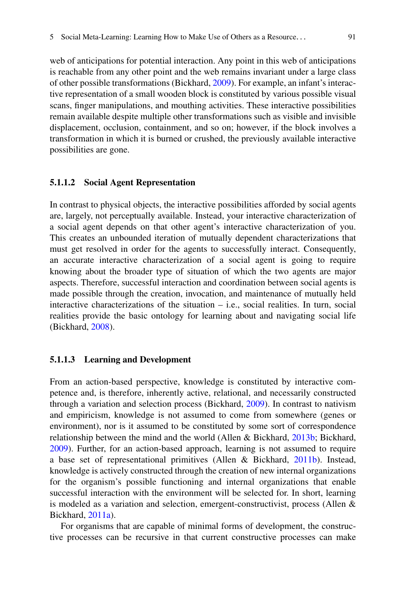web of anticipations for potential interaction. Any point in this web of anticipations is reachable from any other point and the web remains invariant under a large class of other possible transformations (Bickhard, [2009\)](#page-22-4). For example, an infant's interactive representation of a small wooden block is constituted by various possible visual scans, finger manipulations, and mouthing activities. These interactive possibilities remain available despite multiple other transformations such as visible and invisible displacement, occlusion, containment, and so on; however, if the block involves a transformation in which it is burned or crushed, the previously available interactive possibilities are gone.

#### **5.1.1.2 Social Agent Representation**

In contrast to physical objects, the interactive possibilities afforded by social agents are, largely, not perceptually available. Instead, your interactive characterization of a social agent depends on that other agent's interactive characterization of you. This creates an unbounded iteration of mutually dependent characterizations that must get resolved in order for the agents to successfully interact. Consequently, an accurate interactive characterization of a social agent is going to require knowing about the broader type of situation of which the two agents are major aspects. Therefore, successful interaction and coordination between social agents is made possible through the creation, invocation, and maintenance of mutually held interactive characterizations of the situation  $-$  i.e., social realities. In turn, social realities provide the basic ontology for learning about and navigating social life (Bickhard, [2008\)](#page-22-0).

#### **5.1.1.3 Learning and Development**

From an action-based perspective, knowledge is constituted by interactive competence and, is therefore, inherently active, relational, and necessarily constructed through a variation and selection process (Bickhard, [2009\)](#page-22-4). In contrast to nativism and empiricism, knowledge is not assumed to come from somewhere (genes or environment), nor is it assumed to be constituted by some sort of correspondence relationship between the mind and the world (Allen & Bickhard, [2013b;](#page-22-9) Bickhard, [2009\)](#page-22-4). Further, for an action-based approach, learning is not assumed to require a base set of representational primitives (Allen & Bickhard, [2011b\)](#page-22-10). Instead, knowledge is actively constructed through the creation of new internal organizations for the organism's possible functioning and internal organizations that enable successful interaction with the environment will be selected for. In short, learning is modeled as a variation and selection, emergent-constructivist, process (Allen  $\&$ Bickhard, [2011a\)](#page-22-5).

For organisms that are capable of minimal forms of development, the constructive processes can be recursive in that current constructive processes can make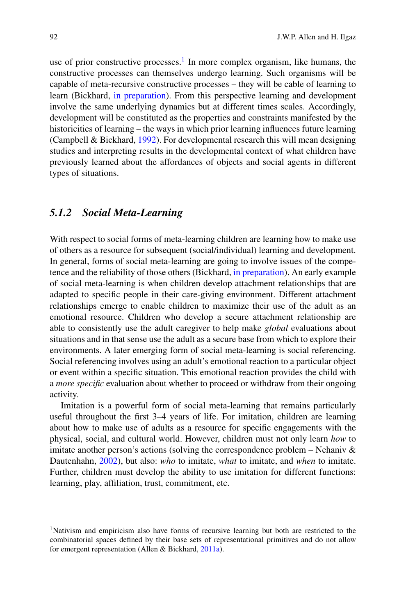use of prior constructive processes.<sup>1</sup> In more complex organism, like humans, the constructive processes can themselves undergo learning. Such organisms will be capable of meta-recursive constructive processes – they will be cable of learning to learn (Bickhard, [in preparation\)](#page-22-7). From this perspective learning and development involve the same underlying dynamics but at different times scales. Accordingly, development will be constituted as the properties and constraints manifested by the historicities of learning – the ways in which prior learning influences future learning (Campbell & Bickhard, [1992\)](#page-22-11). For developmental research this will mean designing studies and interpreting results in the developmental context of what children have previously learned about the affordances of objects and social agents in different types of situations.

## *5.1.2 Social Meta-Learning*

With respect to social forms of meta-learning children are learning how to make use of others as a resource for subsequent (social/individual) learning and development. In general, forms of social meta-learning are going to involve issues of the competence and the reliability of those others (Bickhard, [in preparation\)](#page-22-7). An early example of social meta-learning is when children develop attachment relationships that are adapted to specific people in their care-giving environment. Different attachment relationships emerge to enable children to maximize their use of the adult as an emotional resource. Children who develop a secure attachment relationship are able to consistently use the adult caregiver to help make *global* evaluations about situations and in that sense use the adult as a secure base from which to explore their environments. A later emerging form of social meta-learning is social referencing. Social referencing involves using an adult's emotional reaction to a particular object or event within a specific situation. This emotional reaction provides the child with a *more specific* evaluation about whether to proceed or withdraw from their ongoing activity.

Imitation is a powerful form of social meta-learning that remains particularly useful throughout the first 3–4 years of life. For imitation, children are learning about how to make use of adults as a resource for specific engagements with the physical, social, and cultural world. However, children must not only learn *how* to imitate another person's actions (solving the correspondence problem – Nehaniv  $\&$ Dautenhahn, [2002\)](#page-24-2), but also: *who* to imitate, *what* to imitate, and *when* to imitate. Further, children must develop the ability to use imitation for different functions: learning, play, affiliation, trust, commitment, etc.

<span id="page-3-0"></span><sup>1</sup>Nativism and empiricism also have forms of recursive learning but both are restricted to the combinatorial spaces defined by their base sets of representational primitives and do not allow for emergent representation (Allen & Bickhard, [2011a\)](#page-22-5).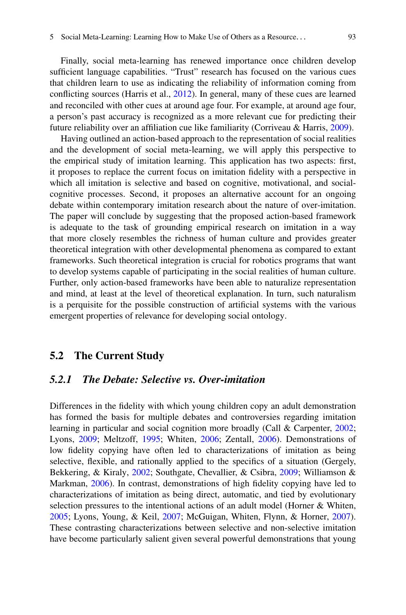Finally, social meta-learning has renewed importance once children develop sufficient language capabilities. "Trust" research has focused on the various cues that children learn to use as indicating the reliability of information coming from conflicting sources (Harris et al., [2012\)](#page-23-4). In general, many of these cues are learned and reconciled with other cues at around age four. For example, at around age four, a person's past accuracy is recognized as a more relevant cue for predicting their future reliability over an affiliation cue like familiarity (Corriveau & Harris, [2009\)](#page-22-12).

Having outlined an action-based approach to the representation of social realities and the development of social meta-learning, we will apply this perspective to the empirical study of imitation learning. This application has two aspects: first, it proposes to replace the current focus on imitation fidelity with a perspective in which all imitation is selective and based on cognitive, motivational, and socialcognitive processes. Second, it proposes an alternative account for an ongoing debate within contemporary imitation research about the nature of over-imitation. The paper will conclude by suggesting that the proposed action-based framework is adequate to the task of grounding empirical research on imitation in a way that more closely resembles the richness of human culture and provides greater theoretical integration with other developmental phenomena as compared to extant frameworks. Such theoretical integration is crucial for robotics programs that want to develop systems capable of participating in the social realities of human culture. Further, only action-based frameworks have been able to naturalize representation and mind, at least at the level of theoretical explanation. In turn, such naturalism is a perquisite for the possible construction of artificial systems with the various emergent properties of relevance for developing social ontology.

# **5.2 The Current Study**

# *5.2.1 The Debate: Selective vs. Over-imitation*

Differences in the fidelity with which young children copy an adult demonstration has formed the basis for multiple debates and controversies regarding imitation learning in particular and social cognition more broadly (Call & Carpenter, [2002;](#page-22-13) Lyons, [2009;](#page-23-5) Meltzoff, [1995;](#page-24-3) Whiten, [2006;](#page-24-4) Zentall, [2006\)](#page-24-5). Demonstrations of low fidelity copying have often led to characterizations of imitation as being selective, flexible, and rationally applied to the specifics of a situation (Gergely, Bekkering, & Kiraly, [2002;](#page-23-6) Southgate, Chevallier, & Csibra, [2009;](#page-24-6) Williamson & Markman, [2006\)](#page-24-7). In contrast, demonstrations of high fidelity copying have led to characterizations of imitation as being direct, automatic, and tied by evolutionary selection pressures to the intentional actions of an adult model (Horner & Whiten, [2005;](#page-23-7) Lyons, Young, & Keil, [2007;](#page-23-8) McGuigan, Whiten, Flynn, & Horner, [2007\)](#page-23-9). These contrasting characterizations between selective and non-selective imitation have become particularly salient given several powerful demonstrations that young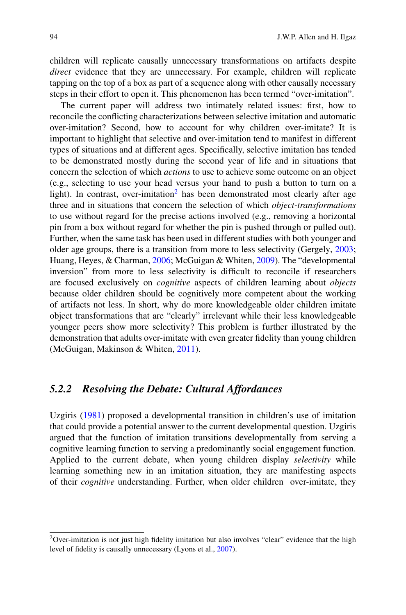children will replicate causally unnecessary transformations on artifacts despite *direct* evidence that they are unnecessary. For example, children will replicate tapping on the top of a box as part of a sequence along with other causally necessary steps in their effort to open it. This phenomenon has been termed "over-imitation".

The current paper will address two intimately related issues: first, how to reconcile the conflicting characterizations between selective imitation and automatic over-imitation? Second, how to account for why children over-imitate? It is important to highlight that selective and over-imitation tend to manifest in different types of situations and at different ages. Specifically, selective imitation has tended to be demonstrated mostly during the second year of life and in situations that concern the selection of which *actions* to use to achieve some outcome on an object (e.g., selecting to use your head versus your hand to push a button to turn on a light). In contrast, over-imitation<sup>2</sup> has been demonstrated most clearly after age three and in situations that concern the selection of which *object-transformations* to use without regard for the precise actions involved (e.g., removing a horizontal pin from a box without regard for whether the pin is pushed through or pulled out). Further, when the same task has been used in different studies with both younger and older age groups, there is a transition from more to less selectivity (Gergely, [2003;](#page-23-10) Huang, Heyes, & Charman, [2006;](#page-23-11) McGuigan & Whiten, [2009\)](#page-23-12). The "developmental inversion" from more to less selectivity is difficult to reconcile if researchers are focused exclusively on *cognitive* aspects of children learning about *objects* because older children should be cognitively more competent about the working of artifacts not less. In short, why do more knowledgeable older children imitate object transformations that are "clearly" irrelevant while their less knowledgeable younger peers show more selectivity? This problem is further illustrated by the demonstration that adults over-imitate with even greater fidelity than young children (McGuigan, Makinson & Whiten, [2011\)](#page-23-13).

# *5.2.2 Resolving the Debate: Cultural Affordances*

Uzgiris [\(1981\)](#page-24-8) proposed a developmental transition in children's use of imitation that could provide a potential answer to the current developmental question. Uzgiris argued that the function of imitation transitions developmentally from serving a cognitive learning function to serving a predominantly social engagement function. Applied to the current debate, when young children display *selectivity* while learning something new in an imitation situation, they are manifesting aspects of their *cognitive* understanding. Further, when older children over-imitate, they

<span id="page-5-0"></span><sup>&</sup>lt;sup>2</sup>Over-imitation is not just high fidelity imitation but also involves "clear" evidence that the high level of fidelity is causally unnecessary (Lyons et al., [2007\)](#page-23-8).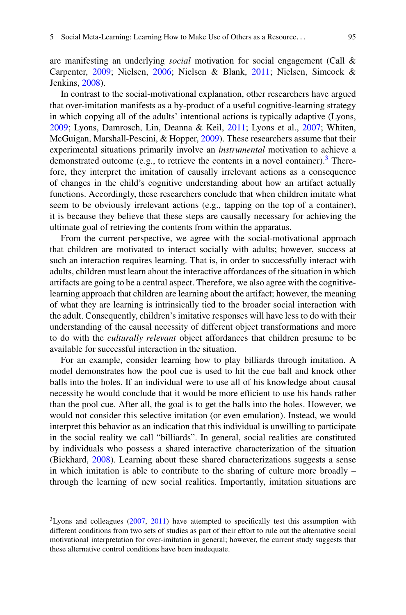are manifesting an underlying *social* motivation for social engagement (Call & Carpenter, [2009;](#page-22-14) Nielsen, [2006;](#page-24-9) Nielsen & Blank, [2011;](#page-24-10) Nielsen, Simcock & Jenkins, [2008\)](#page-24-11).

In contrast to the social-motivational explanation, other researchers have argued that over-imitation manifests as a by-product of a useful cognitive-learning strategy in which copying all of the adults' intentional actions is typically adaptive (Lyons, [2009;](#page-23-5) Lyons, Damrosch, Lin, Deanna & Keil, [2011;](#page-23-14) Lyons et al., [2007;](#page-23-8) Whiten, McGuigan, Marshall-Pescini, & Hopper, [2009\)](#page-24-12). These researchers assume that their experimental situations primarily involve an *instrumental* motivation to achieve a demonstrated outcome (e.g., to retrieve the contents in a novel container).<sup>[3](#page-6-0)</sup> Therefore, they interpret the imitation of causally irrelevant actions as a consequence of changes in the child's cognitive understanding about how an artifact actually functions. Accordingly, these researchers conclude that when children imitate what seem to be obviously irrelevant actions (e.g., tapping on the top of a container), it is because they believe that these steps are causally necessary for achieving the ultimate goal of retrieving the contents from within the apparatus.

From the current perspective, we agree with the social-motivational approach that children are motivated to interact socially with adults; however, success at such an interaction requires learning. That is, in order to successfully interact with adults, children must learn about the interactive affordances of the situation in which artifacts are going to be a central aspect. Therefore, we also agree with the cognitivelearning approach that children are learning about the artifact; however, the meaning of what they are learning is intrinsically tied to the broader social interaction with the adult. Consequently, children's imitative responses will have less to do with their understanding of the causal necessity of different object transformations and more to do with the *culturally relevant* object affordances that children presume to be available for successful interaction in the situation.

For an example, consider learning how to play billiards through imitation. A model demonstrates how the pool cue is used to hit the cue ball and knock other balls into the holes. If an individual were to use all of his knowledge about causal necessity he would conclude that it would be more efficient to use his hands rather than the pool cue. After all, the goal is to get the balls into the holes. However, we would not consider this selective imitation (or even emulation). Instead, we would interpret this behavior as an indication that this individual is unwilling to participate in the social reality we call "billiards". In general, social realities are constituted by individuals who possess a shared interactive characterization of the situation (Bickhard, [2008\)](#page-22-0). Learning about these shared characterizations suggests a sense in which imitation is able to contribute to the sharing of culture more broadly – through the learning of new social realities. Importantly, imitation situations are

<span id="page-6-0"></span><sup>&</sup>lt;sup>3</sup>Lyons and colleagues [\(2007,](#page-23-8) [2011\)](#page-23-14) have attempted to specifically test this assumption with different conditions from two sets of studies as part of their effort to rule out the alternative social motivational interpretation for over-imitation in general; however, the current study suggests that these alternative control conditions have been inadequate.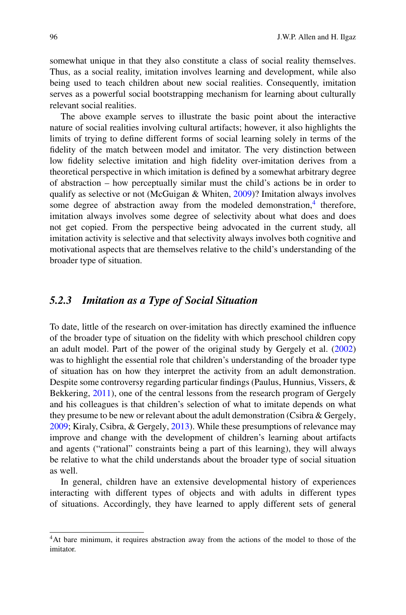somewhat unique in that they also constitute a class of social reality themselves. Thus, as a social reality, imitation involves learning and development, while also being used to teach children about new social realities. Consequently, imitation serves as a powerful social bootstrapping mechanism for learning about culturally relevant social realities.

The above example serves to illustrate the basic point about the interactive nature of social realities involving cultural artifacts; however, it also highlights the limits of trying to define different forms of social learning solely in terms of the fidelity of the match between model and imitator. The very distinction between low fidelity selective imitation and high fidelity over-imitation derives from a theoretical perspective in which imitation is defined by a somewhat arbitrary degree of abstraction – how perceptually similar must the child's actions be in order to qualify as selective or not (McGuigan & Whiten,  $2009$ )? Imitation always involves some degree of abstraction away from the modeled demonstration, $4$  therefore, imitation always involves some degree of selectivity about what does and does not get copied. From the perspective being advocated in the current study, all imitation activity is selective and that selectivity always involves both cognitive and motivational aspects that are themselves relative to the child's understanding of the broader type of situation.

# *5.2.3 Imitation as a Type of Social Situation*

To date, little of the research on over-imitation has directly examined the influence of the broader type of situation on the fidelity with which preschool children copy an adult model. Part of the power of the original study by Gergely et al. [\(2002\)](#page-23-6) was to highlight the essential role that children's understanding of the broader type of situation has on how they interpret the activity from an adult demonstration. Despite some controversy regarding particular findings (Paulus, Hunnius, Vissers, & Bekkering, [2011\)](#page-24-13), one of the central lessons from the research program of Gergely and his colleagues is that children's selection of what to imitate depends on what they presume to be new or relevant about the adult demonstration (Csibra & Gergely, [2009;](#page-22-15) Kiraly, Csibra, & Gergely, [2013\)](#page-23-15). While these presumptions of relevance may improve and change with the development of children's learning about artifacts and agents ("rational" constraints being a part of this learning), they will always be relative to what the child understands about the broader type of social situation as well.

In general, children have an extensive developmental history of experiences interacting with different types of objects and with adults in different types of situations. Accordingly, they have learned to apply different sets of general

<span id="page-7-0"></span><sup>4</sup>At bare minimum, it requires abstraction away from the actions of the model to those of the imitator.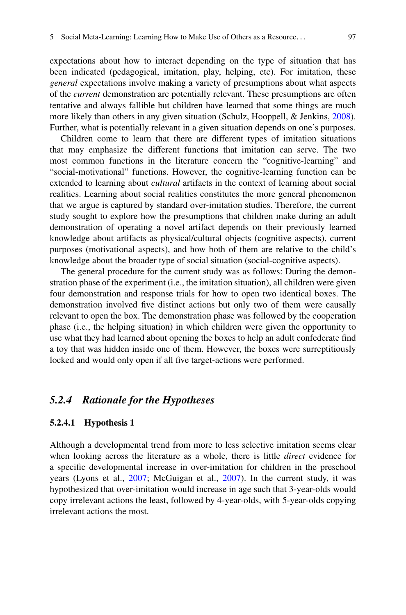expectations about how to interact depending on the type of situation that has been indicated (pedagogical, imitation, play, helping, etc). For imitation, these *general* expectations involve making a variety of presumptions about what aspects of the *current* demonstration are potentially relevant. These presumptions are often tentative and always fallible but children have learned that some things are much more likely than others in any given situation (Schulz, Hooppell, & Jenkins, [2008\)](#page-24-14). Further, what is potentially relevant in a given situation depends on one's purposes.

Children come to learn that there are different types of imitation situations that may emphasize the different functions that imitation can serve. The two most common functions in the literature concern the "cognitive-learning" and "social-motivational" functions. However, the cognitive-learning function can be extended to learning about *cultural* artifacts in the context of learning about social realities. Learning about social realities constitutes the more general phenomenon that we argue is captured by standard over-imitation studies. Therefore, the current study sought to explore how the presumptions that children make during an adult demonstration of operating a novel artifact depends on their previously learned knowledge about artifacts as physical/cultural objects (cognitive aspects), current purposes (motivational aspects), and how both of them are relative to the child's knowledge about the broader type of social situation (social-cognitive aspects).

The general procedure for the current study was as follows: During the demonstration phase of the experiment (i.e., the imitation situation), all children were given four demonstration and response trials for how to open two identical boxes. The demonstration involved five distinct actions but only two of them were causally relevant to open the box. The demonstration phase was followed by the cooperation phase (i.e., the helping situation) in which children were given the opportunity to use what they had learned about opening the boxes to help an adult confederate find a toy that was hidden inside one of them. However, the boxes were surreptitiously locked and would only open if all five target-actions were performed.

# *5.2.4 Rationale for the Hypotheses*

#### **5.2.4.1 Hypothesis 1**

Although a developmental trend from more to less selective imitation seems clear when looking across the literature as a whole, there is little *direct* evidence for a specific developmental increase in over-imitation for children in the preschool years (Lyons et al., [2007;](#page-23-8) McGuigan et al., [2007\)](#page-23-9). In the current study, it was hypothesized that over-imitation would increase in age such that 3-year-olds would copy irrelevant actions the least, followed by 4-year-olds, with 5-year-olds copying irrelevant actions the most.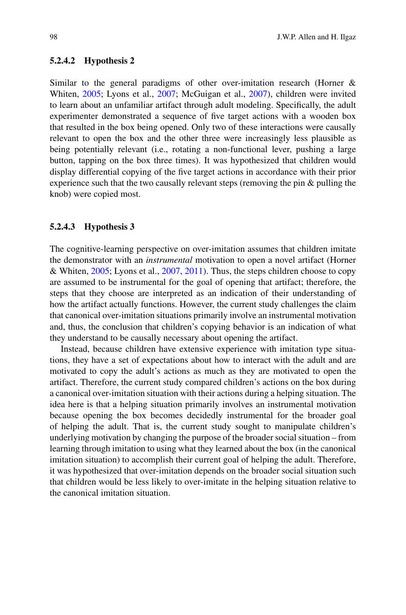#### **5.2.4.2 Hypothesis 2**

Similar to the general paradigms of other over-imitation research (Horner & Whiten, [2005;](#page-23-7) Lyons et al., [2007;](#page-23-8) McGuigan et al., [2007\)](#page-23-9), children were invited to learn about an unfamiliar artifact through adult modeling. Specifically, the adult experimenter demonstrated a sequence of five target actions with a wooden box that resulted in the box being opened. Only two of these interactions were causally relevant to open the box and the other three were increasingly less plausible as being potentially relevant (i.e., rotating a non-functional lever, pushing a large button, tapping on the box three times). It was hypothesized that children would display differential copying of the five target actions in accordance with their prior experience such that the two causally relevant steps (removing the pin & pulling the knob) were copied most.

#### **5.2.4.3 Hypothesis 3**

The cognitive-learning perspective on over-imitation assumes that children imitate the demonstrator with an *instrumental* motivation to open a novel artifact (Horner & Whiten, [2005;](#page-23-7) Lyons et al., [2007,](#page-23-8) [2011\)](#page-23-14). Thus, the steps children choose to copy are assumed to be instrumental for the goal of opening that artifact; therefore, the steps that they choose are interpreted as an indication of their understanding of how the artifact actually functions. However, the current study challenges the claim that canonical over-imitation situations primarily involve an instrumental motivation and, thus, the conclusion that children's copying behavior is an indication of what they understand to be causally necessary about opening the artifact.

Instead, because children have extensive experience with imitation type situations, they have a set of expectations about how to interact with the adult and are motivated to copy the adult's actions as much as they are motivated to open the artifact. Therefore, the current study compared children's actions on the box during a canonical over-imitation situation with their actions during a helping situation. The idea here is that a helping situation primarily involves an instrumental motivation because opening the box becomes decidedly instrumental for the broader goal of helping the adult. That is, the current study sought to manipulate children's underlying motivation by changing the purpose of the broader social situation – from learning through imitation to using what they learned about the box (in the canonical imitation situation) to accomplish their current goal of helping the adult. Therefore, it was hypothesized that over-imitation depends on the broader social situation such that children would be less likely to over-imitate in the helping situation relative to the canonical imitation situation.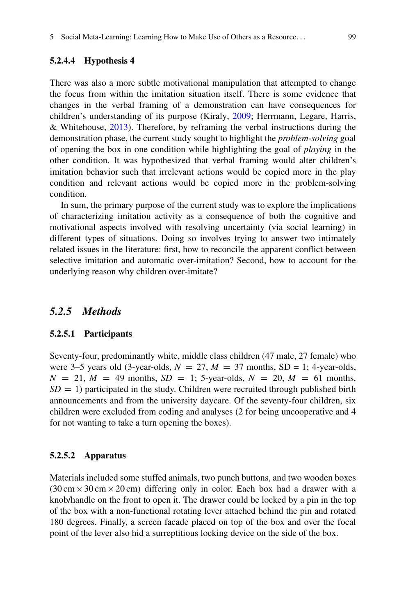## **5.2.4.4 Hypothesis 4**

There was also a more subtle motivational manipulation that attempted to change the focus from within the imitation situation itself. There is some evidence that changes in the verbal framing of a demonstration can have consequences for children's understanding of its purpose (Kiraly, [2009;](#page-23-16) Herrmann, Legare, Harris, & Whitehouse, [2013\)](#page-23-17). Therefore, by reframing the verbal instructions during the demonstration phase, the current study sought to highlight the *problem-solving* goal of opening the box in one condition while highlighting the goal of *playing* in the other condition. It was hypothesized that verbal framing would alter children's imitation behavior such that irrelevant actions would be copied more in the play condition and relevant actions would be copied more in the problem-solving condition.

In sum, the primary purpose of the current study was to explore the implications of characterizing imitation activity as a consequence of both the cognitive and motivational aspects involved with resolving uncertainty (via social learning) in different types of situations. Doing so involves trying to answer two intimately related issues in the literature: first, how to reconcile the apparent conflict between selective imitation and automatic over-imitation? Second, how to account for the underlying reason why children over-imitate?

# *5.2.5 Methods*

#### **5.2.5.1 Participants**

Seventy-four, predominantly white, middle class children (47 male, 27 female) who were 3–5 years old (3-year-olds,  $N = 27$ ,  $M = 37$  months, SD = 1; 4-year-olds,  $N = 21, M = 49$  months,  $SD = 1$ ; 5-year-olds,  $N = 20, M = 61$  months,  $SD = 1$ ) participated in the study. Children were recruited through published birth announcements and from the university daycare. Of the seventy-four children, six children were excluded from coding and analyses (2 for being uncooperative and 4 for not wanting to take a turn opening the boxes).

#### **5.2.5.2 Apparatus**

Materials included some stuffed animals, two punch buttons, and two wooden boxes  $(30 \text{ cm} \times 30 \text{ cm} \times 20 \text{ cm})$  differing only in color. Each box had a drawer with a knob/handle on the front to open it. The drawer could be locked by a pin in the top of the box with a non-functional rotating lever attached behind the pin and rotated 180 degrees. Finally, a screen facade placed on top of the box and over the focal point of the lever also hid a surreptitious locking device on the side of the box.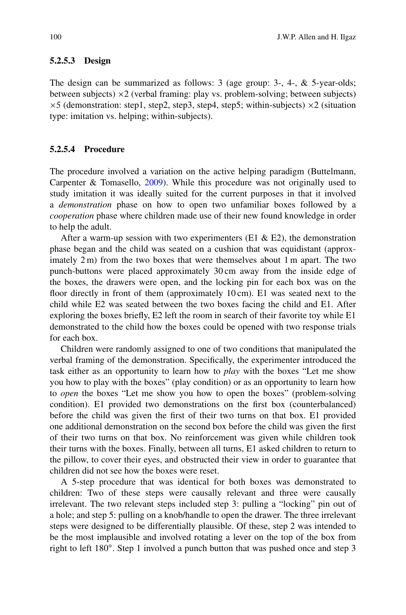## **5.2.5.3 Design**

The design can be summarized as follows: 3 (age group: 3-, 4-, & 5-year-olds; between subjects)  $\times$ 2 (verbal framing: play vs. problem-solving; between subjects)  $\times$ 5 (demonstration: step1, step2, step3, step4, step5; within-subjects)  $\times$ 2 (situation type: imitation vs. helping; within-subjects).

#### **5.2.5.4 Procedure**

The procedure involved a variation on the active helping paradigm (Buttelmann, Carpenter & Tomasello, [2009\)](#page-22-16). While this procedure was not originally used to study imitation it was ideally suited for the current purposes in that it involved a *demonstration* phase on how to open two unfamiliar boxes followed by a *cooperation* phase where children made use of their new found knowledge in order to help the adult.

After a warm-up session with two experimenters (E1  $\&$  E2), the demonstration phase began and the child was seated on a cushion that was equidistant (approximately 2 m) from the two boxes that were themselves about 1 m apart. The two punch-buttons were placed approximately 30 cm away from the inside edge of the boxes, the drawers were open, and the locking pin for each box was on the floor directly in front of them (approximately 10 cm). E1 was seated next to the child while E2 was seated between the two boxes facing the child and E1. After exploring the boxes briefly, E2 left the room in search of their favorite toy while E1 demonstrated to the child how the boxes could be opened with two response trials for each box.

Children were randomly assigned to one of two conditions that manipulated the verbal framing of the demonstration. Specifically, the experimenter introduced the task either as an opportunity to learn how to *play* with the boxes "Let me show you how to play with the boxes" (play condition) or as an opportunity to learn how to *open* the boxes "Let me show you how to open the boxes" (problem-solving condition). E1 provided two demonstrations on the first box (counterbalanced) before the child was given the first of their two turns on that box. E1 provided one additional demonstration on the second box before the child was given the first of their two turns on that box. No reinforcement was given while children took their turns with the boxes. Finally, between all turns, E1 asked children to return to the pillow, to cover their eyes, and obstructed their view in order to guarantee that children did not see how the boxes were reset.

A 5-step procedure that was identical for both boxes was demonstrated to children: Two of these steps were causally relevant and three were causally irrelevant. The two relevant steps included step 3: pulling a "locking" pin out of a hole; and step 5: pulling on a knob/handle to open the drawer. The three irrelevant steps were designed to be differentially plausible. Of these, step 2 was intended to be the most implausible and involved rotating a lever on the top of the box from right to left 180°. Step 1 involved a punch button that was pushed once and step 3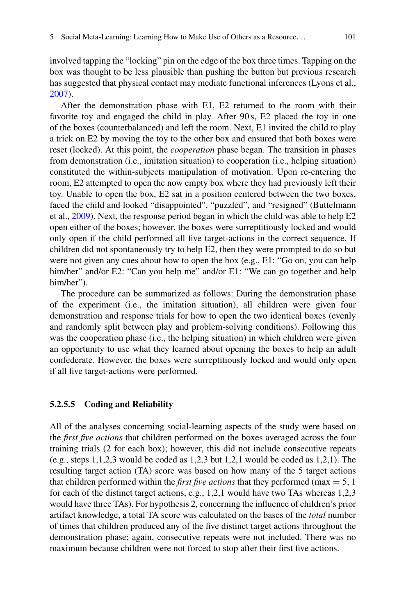involved tapping the "locking" pin on the edge of the box three times. Tapping on the box was thought to be less plausible than pushing the button but previous research has suggested that physical contact may mediate functional inferences (Lyons et al., [2007\)](#page-23-8).

After the demonstration phase with E1, E2 returned to the room with their favorite toy and engaged the child in play. After 90 s, E2 placed the toy in one of the boxes (counterbalanced) and left the room. Next, E1 invited the child to play a trick on E2 by moving the toy to the other box and ensured that both boxes were reset (locked). At this point, the *cooperation* phase began. The transition in phases from demonstration (i.e., imitation situation) to cooperation (i.e., helping situation) constituted the within-subjects manipulation of motivation. Upon re-entering the room, E2 attempted to open the now empty box where they had previously left their toy. Unable to open the box, E2 sat in a position centered between the two boxes, faced the child and looked "disappointed", "puzzled", and "resigned" (Buttelmann et al., [2009\)](#page-22-16). Next, the response period began in which the child was able to help E2 open either of the boxes; however, the boxes were surreptitiously locked and would only open if the child performed all five target-actions in the correct sequence. If children did not spontaneously try to help E2, then they were prompted to do so but were not given any cues about how to open the box (e.g., E1: "Go on, you can help him/her" and/or E2: "Can you help me" and/or E1: "We can go together and help him/her").

The procedure can be summarized as follows: During the demonstration phase of the experiment (i.e., the imitation situation), all children were given four demonstration and response trials for how to open the two identical boxes (evenly and randomly split between play and problem-solving conditions). Following this was the cooperation phase (i.e., the helping situation) in which children were given an opportunity to use what they learned about opening the boxes to help an adult confederate. However, the boxes were surreptitiously locked and would only open if all five target-actions were performed.

#### **5.2.5.5 Coding and Reliability**

All of the analyses concerning social-learning aspects of the study were based on the *first five actions* that children performed on the boxes averaged across the four training trials (2 for each box); however, this did not include consecutive repeats (e.g., steps  $1,1,2,3$  would be coded as  $1,2,3$  but  $1,2,1$  would be coded as  $1,2,1$ ). The resulting target action (TA) score was based on how many of the 5 target actions that children performed within the *first five actions* that they performed (max  $= 5$ , 1) for each of the distinct target actions, e.g., 1,2,1 would have two TAs whereas 1,2,3 would have three TAs). For hypothesis 2, concerning the influence of children's prior artifact knowledge, a total TA score was calculated on the bases of the *total* number of times that children produced any of the five distinct target actions throughout the demonstration phase; again, consecutive repeats were not included. There was no maximum because children were not forced to stop after their first five actions.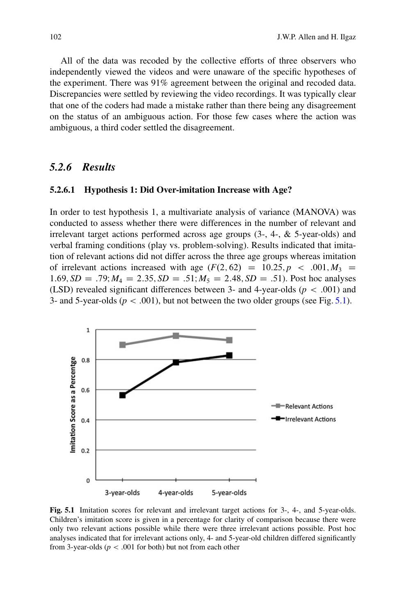All of the data was recoded by the collective efforts of three observers who independently viewed the videos and were unaware of the specific hypotheses of the experiment. There was 91% agreement between the original and recoded data. Discrepancies were settled by reviewing the video recordings. It was typically clear that one of the coders had made a mistake rather than there being any disagreement on the status of an ambiguous action. For those few cases where the action was ambiguous, a third coder settled the disagreement.

# *5.2.6 Results*

#### **5.2.6.1 Hypothesis 1: Did Over-imitation Increase with Age?**

In order to test hypothesis 1, a multivariate analysis of variance (MANOVA) was conducted to assess whether there were differences in the number of relevant and irrelevant target actions performed across age groups (3-, 4-, & 5-year-olds) and verbal framing conditions (play vs. problem-solving). Results indicated that imitation of relevant actions did not differ across the three age groups whereas imitation of irrelevant actions increased with age  $(F(2, 62) = 10.25, p < .001, M_3 =$  $1.69, SD = .79$ ;  $M_4 = 2.35$ ,  $SD = .51$ ;  $M_5 = 2.48$ ,  $SD = .51$ ). Post hoc analyses (LSD) revealed significant differences between 3- and 4-year-olds  $(p < .001)$  and 3- and 5-year-olds  $(p < .001)$ , but not between the two older groups (see Fig. [5.1\)](#page-13-0).



<span id="page-13-0"></span>**Fig. 5.1** Imitation scores for relevant and irrelevant target actions for 3-, 4-, and 5-year-olds. Children's imitation score is given in a percentage for clarity of comparison because there were only two relevant actions possible while there were three irrelevant actions possible. Post hoc analyses indicated that for irrelevant actions only, 4- and 5-year-old children differed significantly from 3-year-olds ( $p < .001$  for both) but not from each other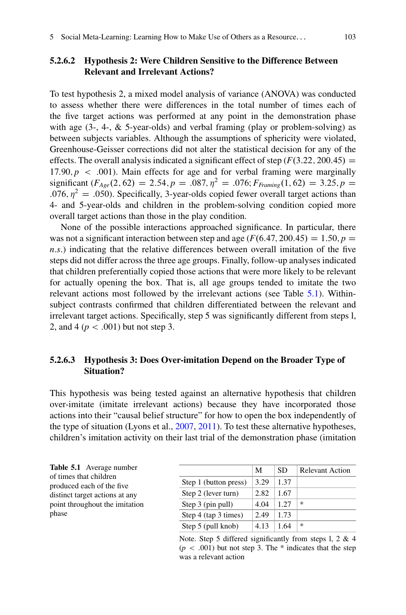# **5.2.6.2 Hypothesis 2: Were Children Sensitive to the Difference Between Relevant and Irrelevant Actions?**

To test hypothesis 2, a mixed model analysis of variance (ANOVA) was conducted to assess whether there were differences in the total number of times each of the five target actions was performed at any point in the demonstration phase with age  $(3-$ , 4-,  $\&$  5-year-olds) and verbal framing (play or problem-solving) as between subjects variables. Although the assumptions of sphericity were violated, Greenhouse-Geisser corrections did not alter the statistical decision for any of the effects. The overall analysis indicated a significant effect of step  $(F(3.22, 200.45)$  = 17.90,  $p < .001$ ). Main effects for age and for verbal framing were marginally significant  $(F_{Age}(2, 62) = 2.54, p = .087, \eta^2 = .076; F_{\text{Framing}}(1, 62) = 3.25, p =$ .076,  $\eta^2 = .050$ ). Specifically, 3-year-olds copied fewer overall target actions than 4- and 5-year-olds and children in the problem-solving condition copied more overall target actions than those in the play condition.

None of the possible interactions approached significance. In particular, there was not a significant interaction between step and age  $(F(6.47, 200.45) = 1.50, p =$ *n*:*s*:) indicating that the relative differences between overall imitation of the five steps did not differ across the three age groups. Finally, follow-up analyses indicated that children preferentially copied those actions that were more likely to be relevant for actually opening the box. That is, all age groups tended to imitate the two relevant actions most followed by the irrelevant actions (see Table [5.1\)](#page-14-0). Withinsubject contrasts confirmed that children differentiated between the relevant and irrelevant target actions. Specifically, step 5 was significantly different from steps l, 2, and  $4 (p < .001)$  but not step 3.

# **5.2.6.3 Hypothesis 3: Does Over-imitation Depend on the Broader Type of Situation?**

This hypothesis was being tested against an alternative hypothesis that children over-imitate (imitate irrelevant actions) because they have incorporated those actions into their "causal belief structure" for how to open the box independently of the type of situation (Lyons et al., [2007,](#page-23-8) [2011\)](#page-23-14). To test these alternative hypotheses, children's imitation activity on their last trial of the demonstration phase (imitation

<span id="page-14-0"></span>

|                        | <b>Table 5.1</b> Average number |
|------------------------|---------------------------------|
| of times that children |                                 |
|                        | produced each of the five       |
|                        | distinct target actions at any  |
|                        | point throughout the imitation  |
| phase                  |                                 |

|                       | М    | SD.  | <b>Relevant Action</b> |
|-----------------------|------|------|------------------------|
| Step 1 (button press) | 3.29 | 1.37 |                        |
| Step 2 (lever turn)   | 2.82 | 1.67 |                        |
| Step 3 (pin pull)     | 4.04 | 1.27 | *                      |
| Step 4 (tap 3 times)  | 2.49 | 1.73 |                        |
| Step 5 (pull knob)    | 4.13 | 1.64 | *                      |

Note. Step 5 differed significantly from steps l, 2 & 4  $(p < .001)$  but not step 3. The  $*$  indicates that the step was a relevant action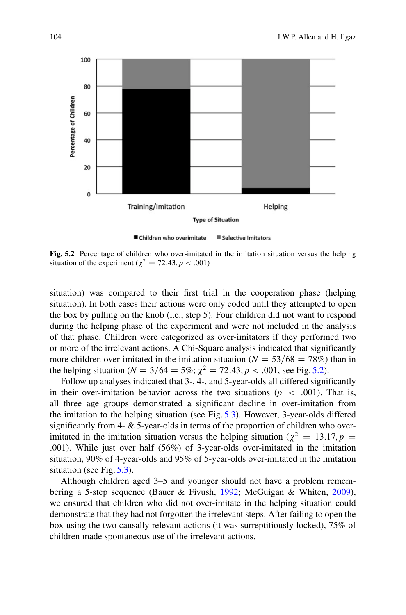

<span id="page-15-0"></span>**Fig. 5.2** Percentage of children who over-imitated in the imitation situation versus the helping situation of the experiment ( $\chi^2 = 72.43$ ,  $p < .001$ )

situation) was compared to their first trial in the cooperation phase (helping situation). In both cases their actions were only coded until they attempted to open the box by pulling on the knob (i.e., step 5). Four children did not want to respond during the helping phase of the experiment and were not included in the analysis of that phase. Children were categorized as over-imitators if they performed two or more of the irrelevant actions. A Chi-Square analysis indicated that significantly more children over-imitated in the imitation situation ( $N = 53/68 = 78\%$ ) than in the helping situation ( $N = 3/64 = 5\%$ ;  $\chi^2 = 72.43$ ,  $p < .001$ , see Fig. [5.2\)](#page-15-0).

Follow up analyses indicated that 3-, 4-, and 5-year-olds all differed significantly in their over-imitation behavior across the two situations ( $p < .001$ ). That is, all three age groups demonstrated a significant decline in over-imitation from the imitation to the helping situation (see Fig. [5.3\)](#page-16-0). However, 3-year-olds differed significantly from 4- & 5-year-olds in terms of the proportion of children who overimitated in the imitation situation versus the helping situation ( $\chi^2 = 13.17$ ,  $p =$ :001). While just over half (56%) of 3-year-olds over-imitated in the imitation situation, 90% of 4-year-olds and 95% of 5-year-olds over-imitated in the imitation situation (see Fig. [5.3\)](#page-16-0).

Although children aged 3–5 and younger should not have a problem remembering a 5-step sequence (Bauer & Fivush, [1992;](#page-22-17) McGuigan & Whiten, [2009\)](#page-23-12), we ensured that children who did not over-imitate in the helping situation could demonstrate that they had not forgotten the irrelevant steps. After failing to open the box using the two causally relevant actions (it was surreptitiously locked), 75% of children made spontaneous use of the irrelevant actions.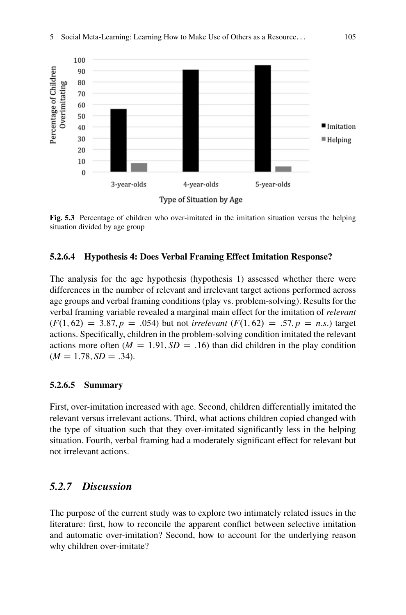

<span id="page-16-0"></span>**Fig. 5.3** Percentage of children who over-imitated in the imitation situation versus the helping situation divided by age group

## **5.2.6.4 Hypothesis 4: Does Verbal Framing Effect Imitation Response?**

The analysis for the age hypothesis (hypothesis 1) assessed whether there were differences in the number of relevant and irrelevant target actions performed across age groups and verbal framing conditions (play vs. problem-solving). Results for the verbal framing variable revealed a marginal main effect for the imitation of *relevant*  $(F(1, 62) = 3.87, p = .054)$  but not *irrelevant*  $(F(1, 62) = .57, p = n.s.)$  target actions. Specifically, children in the problem-solving condition imitated the relevant actions more often ( $M = 1.91$ ,  $SD = .16$ ) than did children in the play condition  $(M = 1.78, SD = .34).$ 

#### **5.2.6.5 Summary**

First, over-imitation increased with age. Second, children differentially imitated the relevant versus irrelevant actions. Third, what actions children copied changed with the type of situation such that they over-imitated significantly less in the helping situation. Fourth, verbal framing had a moderately significant effect for relevant but not irrelevant actions.

# *5.2.7 Discussion*

The purpose of the current study was to explore two intimately related issues in the literature: first, how to reconcile the apparent conflict between selective imitation and automatic over-imitation? Second, how to account for the underlying reason why children over-imitate?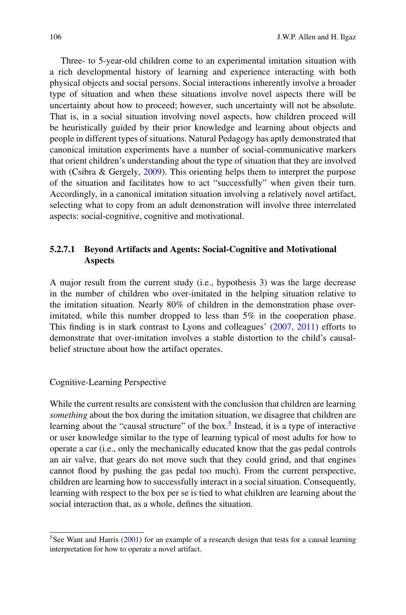Three- to 5-year-old children come to an experimental imitation situation with a rich developmental history of learning and experience interacting with both physical objects and social persons. Social interactions inherently involve a broader type of situation and when these situations involve novel aspects there will be uncertainty about how to proceed; however, such uncertainty will not be absolute. That is, in a social situation involving novel aspects, how children proceed will be heuristically guided by their prior knowledge and learning about objects and people in different types of situations. Natural Pedagogy has aptly demonstrated that canonical imitation experiments have a number of social-communicative markers that orient children's understanding about the type of situation that they are involved with (Csibra & Gergely, [2009\)](#page-22-15). This orienting helps them to interpret the purpose of the situation and facilitates how to act "successfully" when given their turn. Accordingly, in a canonical imitation situation involving a relatively novel artifact, selecting what to copy from an adult demonstration will involve three interrelated aspects: social-cognitive, cognitive and motivational.

# **5.2.7.1 Beyond Artifacts and Agents: Social-Cognitive and Motivational Aspects**

A major result from the current study (i.e., hypothesis 3) was the large decrease in the number of children who over-imitated in the helping situation relative to the imitation situation. Nearly 80% of children in the demonstration phase overimitated, while this number dropped to less than 5% in the cooperation phase. This finding is in stark contrast to Lyons and colleagues' [\(2007,](#page-23-8) [2011\)](#page-23-14) efforts to demonstrate that over-imitation involves a stable distortion to the child's causalbelief structure about how the artifact operates.

#### Cognitive-Learning Perspective

While the current results are consistent with the conclusion that children are learning *something* about the box during the imitation situation, we disagree that children are learning about the "causal structure" of the box.<sup>[5](#page-17-0)</sup> Instead, it is a type of interactive or user knowledge similar to the type of learning typical of most adults for how to operate a car (i.e., only the mechanically educated know that the gas pedal controls an air valve, that gears do not move such that they could grind, and that engines cannot flood by pushing the gas pedal too much). From the current perspective, children are learning how to successfully interact in a social situation. Consequently, learning with respect to the box per se is tied to what children are learning about the social interaction that, as a whole, defines the situation.

<span id="page-17-0"></span> $5$ See Want and Harris [\(2001\)](#page-24-15) for an example of a research design that tests for a causal learning interpretation for how to operate a novel artifact.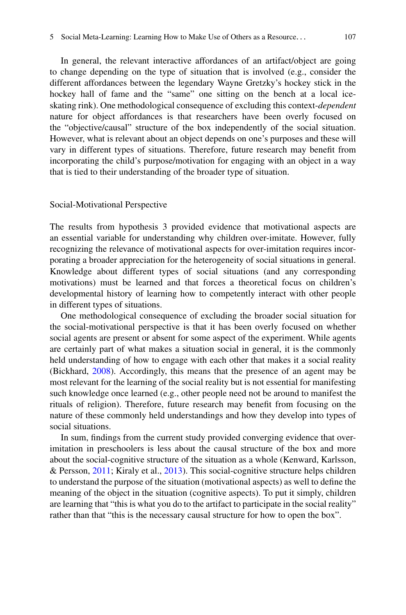In general, the relevant interactive affordances of an artifact/object are going to change depending on the type of situation that is involved (e.g., consider the different affordances between the legendary Wayne Gretzky's hockey stick in the hockey hall of fame and the "same" one sitting on the bench at a local iceskating rink). One methodological consequence of excluding this context-*dependent* nature for object affordances is that researchers have been overly focused on the "objective/causal" structure of the box independently of the social situation. However, what is relevant about an object depends on one's purposes and these will vary in different types of situations. Therefore, future research may benefit from incorporating the child's purpose/motivation for engaging with an object in a way that is tied to their understanding of the broader type of situation.

#### Social-Motivational Perspective

The results from hypothesis 3 provided evidence that motivational aspects are an essential variable for understanding why children over-imitate. However, fully recognizing the relevance of motivational aspects for over-imitation requires incorporating a broader appreciation for the heterogeneity of social situations in general. Knowledge about different types of social situations (and any corresponding motivations) must be learned and that forces a theoretical focus on children's developmental history of learning how to competently interact with other people in different types of situations.

One methodological consequence of excluding the broader social situation for the social-motivational perspective is that it has been overly focused on whether social agents are present or absent for some aspect of the experiment. While agents are certainly part of what makes a situation social in general, it is the commonly held understanding of how to engage with each other that makes it a social reality (Bickhard, [2008\)](#page-22-0). Accordingly, this means that the presence of an agent may be most relevant for the learning of the social reality but is not essential for manifesting such knowledge once learned (e.g., other people need not be around to manifest the rituals of religion). Therefore, future research may benefit from focusing on the nature of these commonly held understandings and how they develop into types of social situations.

In sum, findings from the current study provided converging evidence that overimitation in preschoolers is less about the causal structure of the box and more about the social-cognitive structure of the situation as a whole (Kenward, Karlsson, & Persson, [2011;](#page-23-18) Kiraly et al., [2013\)](#page-23-15). This social-cognitive structure helps children to understand the purpose of the situation (motivational aspects) as well to define the meaning of the object in the situation (cognitive aspects). To put it simply, children are learning that "this is what you do to the artifact to participate in the social reality" rather than that "this is the necessary causal structure for how to open the box".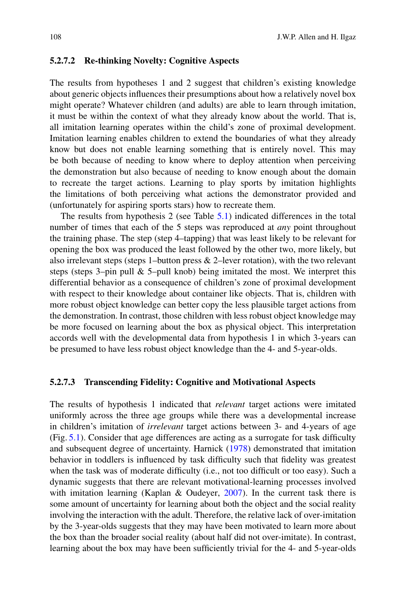## **5.2.7.2 Re-thinking Novelty: Cognitive Aspects**

The results from hypotheses 1 and 2 suggest that children's existing knowledge about generic objects influences their presumptions about how a relatively novel box might operate? Whatever children (and adults) are able to learn through imitation, it must be within the context of what they already know about the world. That is, all imitation learning operates within the child's zone of proximal development. Imitation learning enables children to extend the boundaries of what they already know but does not enable learning something that is entirely novel. This may be both because of needing to know where to deploy attention when perceiving the demonstration but also because of needing to know enough about the domain to recreate the target actions. Learning to play sports by imitation highlights the limitations of both perceiving what actions the demonstrator provided and (unfortunately for aspiring sports stars) how to recreate them.

The results from hypothesis 2 (see Table [5.1\)](#page-14-0) indicated differences in the total number of times that each of the 5 steps was reproduced at *any* point throughout the training phase. The step (step 4–tapping) that was least likely to be relevant for opening the box was produced the least followed by the other two, more likely, but also irrelevant steps (steps 1–button press & 2–lever rotation), with the two relevant steps (steps 3–pin pull & 5–pull knob) being imitated the most. We interpret this differential behavior as a consequence of children's zone of proximal development with respect to their knowledge about container like objects. That is, children with more robust object knowledge can better copy the less plausible target actions from the demonstration. In contrast, those children with less robust object knowledge may be more focused on learning about the box as physical object. This interpretation accords well with the developmental data from hypothesis 1 in which 3-years can be presumed to have less robust object knowledge than the 4- and 5-year-olds.

### **5.2.7.3 Transcending Fidelity: Cognitive and Motivational Aspects**

The results of hypothesis 1 indicated that *relevant* target actions were imitated uniformly across the three age groups while there was a developmental increase in children's imitation of *irrelevant* target actions between 3- and 4-years of age (Fig. [5.1\)](#page-13-0). Consider that age differences are acting as a surrogate for task difficulty and subsequent degree of uncertainty. Harnick [\(1978\)](#page-23-19) demonstrated that imitation behavior in toddlers is influenced by task difficulty such that fidelity was greatest when the task was of moderate difficulty (i.e., not too difficult or too easy). Such a dynamic suggests that there are relevant motivational-learning processes involved with imitation learning (Kaplan & Oudeyer, [2007\)](#page-23-20). In the current task there is some amount of uncertainty for learning about both the object and the social reality involving the interaction with the adult. Therefore, the relative lack of over-imitation by the 3-year-olds suggests that they may have been motivated to learn more about the box than the broader social reality (about half did not over-imitate). In contrast, learning about the box may have been sufficiently trivial for the 4- and 5-year-olds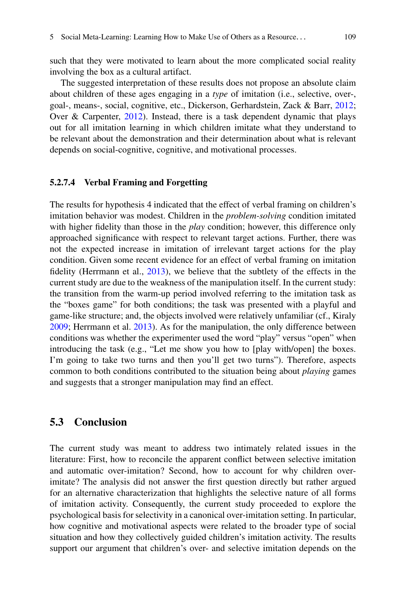such that they were motivated to learn about the more complicated social reality involving the box as a cultural artifact.

The suggested interpretation of these results does not propose an absolute claim about children of these ages engaging in a *type* of imitation (i.e., selective, over-, goal-, means-, social, cognitive, etc., Dickerson, Gerhardstein, Zack & Barr, [2012;](#page-22-18) Over & Carpenter, [2012\)](#page-24-16). Instead, there is a task dependent dynamic that plays out for all imitation learning in which children imitate what they understand to be relevant about the demonstration and their determination about what is relevant depends on social-cognitive, cognitive, and motivational processes.

#### **5.2.7.4 Verbal Framing and Forgetting**

The results for hypothesis 4 indicated that the effect of verbal framing on children's imitation behavior was modest. Children in the *problem-solving* condition imitated with higher fidelity than those in the *play* condition; however, this difference only approached significance with respect to relevant target actions. Further, there was not the expected increase in imitation of irrelevant target actions for the play condition. Given some recent evidence for an effect of verbal framing on imitation fidelity (Herrmann et al., [2013\)](#page-23-17), we believe that the subtlety of the effects in the current study are due to the weakness of the manipulation itself. In the current study: the transition from the warm-up period involved referring to the imitation task as the "boxes game" for both conditions; the task was presented with a playful and game-like structure; and, the objects involved were relatively unfamiliar (cf., Kiraly [2009;](#page-23-16) Herrmann et al. [2013\)](#page-23-17). As for the manipulation, the only difference between conditions was whether the experimenter used the word "play" versus "open" when introducing the task (e.g., "Let me show you how to [play with/open] the boxes. I'm going to take two turns and then you'll get two turns"). Therefore, aspects common to both conditions contributed to the situation being about *playing* games and suggests that a stronger manipulation may find an effect.

# **5.3 Conclusion**

The current study was meant to address two intimately related issues in the literature: First, how to reconcile the apparent conflict between selective imitation and automatic over-imitation? Second, how to account for why children overimitate? The analysis did not answer the first question directly but rather argued for an alternative characterization that highlights the selective nature of all forms of imitation activity. Consequently, the current study proceeded to explore the psychological basis for selectivity in a canonical over-imitation setting. In particular, how cognitive and motivational aspects were related to the broader type of social situation and how they collectively guided children's imitation activity. The results support our argument that children's over- and selective imitation depends on the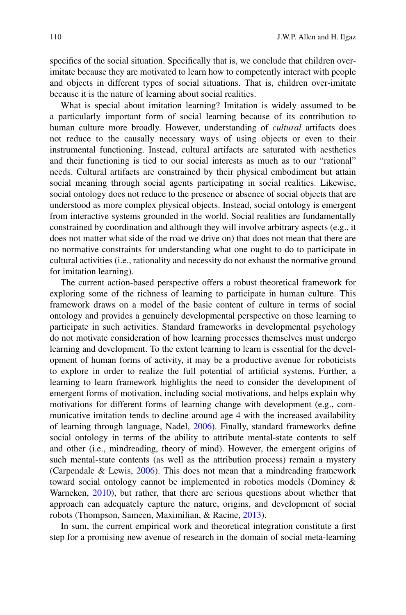specifics of the social situation. Specifically that is, we conclude that children overimitate because they are motivated to learn how to competently interact with people and objects in different types of social situations. That is, children over-imitate because it is the nature of learning about social realities.

What is special about imitation learning? Imitation is widely assumed to be a particularly important form of social learning because of its contribution to human culture more broadly. However, understanding of *cultural* artifacts does not reduce to the causally necessary ways of using objects or even to their instrumental functioning. Instead, cultural artifacts are saturated with aesthetics and their functioning is tied to our social interests as much as to our "rational" needs. Cultural artifacts are constrained by their physical embodiment but attain social meaning through social agents participating in social realities. Likewise, social ontology does not reduce to the presence or absence of social objects that are understood as more complex physical objects. Instead, social ontology is emergent from interactive systems grounded in the world. Social realities are fundamentally constrained by coordination and although they will involve arbitrary aspects (e.g., it does not matter what side of the road we drive on) that does not mean that there are no normative constraints for understanding what one ought to do to participate in cultural activities (i.e., rationality and necessity do not exhaust the normative ground for imitation learning).

The current action-based perspective offers a robust theoretical framework for exploring some of the richness of learning to participate in human culture. This framework draws on a model of the basic content of culture in terms of social ontology and provides a genuinely developmental perspective on those learning to participate in such activities. Standard frameworks in developmental psychology do not motivate consideration of how learning processes themselves must undergo learning and development. To the extent learning to learn is essential for the development of human forms of activity, it may be a productive avenue for roboticists to explore in order to realize the full potential of artificial systems. Further, a learning to learn framework highlights the need to consider the development of emergent forms of motivation, including social motivations, and helps explain why motivations for different forms of learning change with development (e.g., communicative imitation tends to decline around age 4 with the increased availability of learning through language, Nadel, [2006\)](#page-24-17). Finally, standard frameworks define social ontology in terms of the ability to attribute mental-state contents to self and other (i.e., mindreading, theory of mind). However, the emergent origins of such mental-state contents (as well as the attribution process) remain a mystery (Carpendale & Lewis, [2006\)](#page-22-19). This does not mean that a mindreading framework toward social ontology cannot be implemented in robotics models (Dominey & Warneken, [2010\)](#page-22-20), but rather, that there are serious questions about whether that approach can adequately capture the nature, origins, and development of social robots (Thompson, Sameen, Maximilian, & Racine, [2013\)](#page-24-18).

In sum, the current empirical work and theoretical integration constitute a first step for a promising new avenue of research in the domain of social meta-learning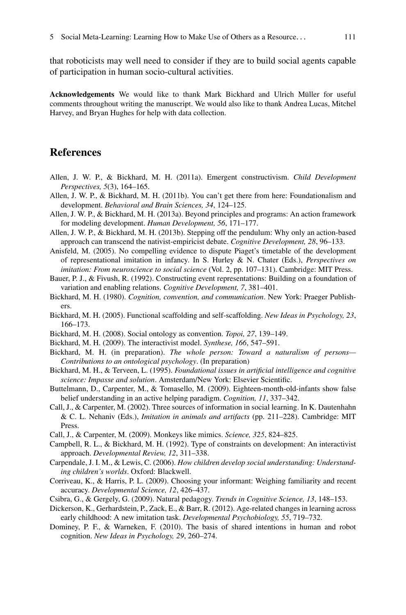that roboticists may well need to consider if they are to build social agents capable of participation in human socio-cultural activities.

**Acknowledgements** We would like to thank Mark Bickhard and Ulrich Müller for useful comments throughout writing the manuscript. We would also like to thank Andrea Lucas, Mitchel Harvey, and Bryan Hughes for help with data collection.

# **References**

- <span id="page-22-5"></span>Allen, J. W. P., & Bickhard, M. H. (2011a). Emergent constructivism. *Child Development Perspectives, 5*(3), 164–165.
- <span id="page-22-10"></span>Allen, J. W. P., & Bickhard, M. H. (2011b). You can't get there from here: Foundationalism and development. *Behavioral and Brain Sciences, 34*, 124–125.
- <span id="page-22-3"></span>Allen, J. W. P., & Bickhard, M. H. (2013a). Beyond principles and programs: An action framework for modeling development. *Human Development, 56*, 171–177.
- <span id="page-22-9"></span>Allen, J. W. P., & Bickhard, M. H. (2013b). Stepping off the pendulum: Why only an action-based approach can transcend the nativist-empiricist debate. *Cognitive Development, 28*, 96–133.
- <span id="page-22-1"></span>Anisfeld, M. (2005). No compelling evidence to dispute Piaget's timetable of the development of representational imitation in infancy. In S. Hurley & N. Chater (Eds.), *Perspectives on imitation: From neuroscience to social science* (Vol. 2, pp. 107–131). Cambridge: MIT Press.
- <span id="page-22-17"></span>Bauer, P. J., & Fivush, R. (1992). Constructing event representations: Building on a foundation of variation and enabling relations. *Cognitive Development, 7*, 381–401.
- <span id="page-22-6"></span>Bickhard, M. H. (1980). *Cognition, convention, and communication*. New York: Praeger Publishers.
- <span id="page-22-2"></span>Bickhard, M. H. (2005). Functional scaffolding and self-scaffolding. *New Ideas in Psychology, 23*, 166–173.
- <span id="page-22-0"></span>Bickhard, M. H. (2008). Social ontology as convention. *Topoi, 27*, 139–149.
- <span id="page-22-4"></span>Bickhard, M. H. (2009). The interactivist model. *Synthese, 166*, 547–591.
- <span id="page-22-7"></span>Bickhard, M. H. (in preparation). *The whole person: Toward a naturalism of persons— Contributions to an ontological psychology*. (In preparation)
- <span id="page-22-8"></span>Bickhard, M. H., & Terveen, L. (1995). *Foundational issues in artificial intelligence and cognitive science: Impasse and solution*. Amsterdam/New York: Elsevier Scientific.
- <span id="page-22-16"></span>Buttelmann, D., Carpenter, M., & Tomasello, M. (2009). Eighteen-month-old-infants show false belief understanding in an active helping paradigm. *Cognition, 11*, 337–342.
- <span id="page-22-13"></span>Call, J., & Carpenter, M. (2002). Three sources of information in social learning. In K. Dautenhahn & C. L. Nehaniv (Eds.), *Imitation in animals and artifacts* (pp. 211–228). Cambridge: MIT Press.
- <span id="page-22-14"></span>Call, J., & Carpenter, M. (2009). Monkeys like mimics. *Science, 325*, 824–825.
- <span id="page-22-11"></span>Campbell, R. L., & Bickhard, M. H. (1992). Type of constraints on development: An interactivist approach. *Developmental Review, 12*, 311–338.
- <span id="page-22-19"></span>Carpendale, J. I. M., & Lewis, C. (2006). *How children develop social understanding: Understanding children's worlds*. Oxford: Blackwell.
- <span id="page-22-12"></span>Corriveau, K., & Harris, P. L. (2009). Choosing your informant: Weighing familiarity and recent accuracy. *Developmental Science, 12*, 426–437.
- <span id="page-22-15"></span>Csibra, G., & Gergely, G. (2009). Natural pedagogy. *Trends in Cognitive Science, 13*, 148–153.
- <span id="page-22-18"></span>Dickerson, K., Gerhardstein, P., Zack, E., & Barr, R. (2012). Age-related changes in learning across early childhood: A new imitation task. *Developmental Psychobiology, 55*, 719–732.
- <span id="page-22-20"></span>Dominey, P. F., & Warneken, F. (2010). The basis of shared intentions in human and robot cognition. *New Ideas in Psychology, 29*, 260–274.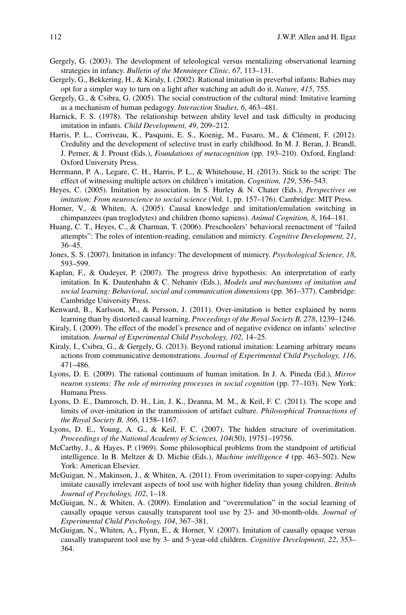- <span id="page-23-10"></span>Gergely, G. (2003). The development of teleological versus mentalizing observational learning strategies in infancy. *Bulletin of the Menninger Clinic, 67*, 113–131.
- <span id="page-23-6"></span>Gergely, G., Bekkering, H., & Kiraly, I. (2002). Rational imitation in preverbal infants: Babies may opt for a simpler way to turn on a light after watching an adult do it. *Nature, 415*, 755.
- <span id="page-23-2"></span>Gergely, G., & Csibra, G. (2005). The social construction of the cultural mind: Imitative learning as a mechanism of human pedagogy. *Interaction Studies, 6*, 463–481.
- <span id="page-23-19"></span>Harnick, F. S. (1978). The relationship between ability level and task difficulty in producing imitation in infants. *Child Development, 49*, 209–212.
- <span id="page-23-4"></span>Harris, P. L., Corriveau, K., Pasquini, E. S., Koenig, M., Fusaro, M., & Clément, F. (2012). Credulity and the development of selective trust in early childhood. In M. J. Beran, J. Brandl, J. Perner, & J. Proust (Eds.), *Foundations of metacognition* (pp. 193–210). Oxford, England: Oxford University Press.
- <span id="page-23-17"></span>Herrmann, P. A., Legare, C. H., Harris, P. L., & Whitehouse, H. (2013). Stick to the script: The effect of witnessing multiple actors on children's imitation. *Cognition, 129*, 536–543.
- <span id="page-23-3"></span>Heyes, C. (2005). Imitation by association. In S. Hurley & N. Chater (Eds.), *Perspectives on imitation: From neuroscience to social science* (Vol. 1, pp. 157–176). Cambridge: MIT Press.
- <span id="page-23-7"></span>Horner, V., & Whiten, A. (2005). Causal knowledge and imitation/emulation switching in chimpanzees (pan troglodytes) and children (homo sapiens). *Animal Cognition, 8*, 164–181.
- <span id="page-23-11"></span>Huang, C. T., Heyes, C., & Charman, T. (2006). Preschoolers' behavioral reenactment of "failed attempts": The roles of intention-reading, emulation and mimicry. *Cognitive Development, 21*, 36–45.
- <span id="page-23-1"></span>Jones, S. S. (2007). Imitation in infancy: The development of mimicry. *Psychological Science, 18*, 593–599.
- <span id="page-23-20"></span>Kaplan, F., & Oudeyer, P. (2007). The progress drive hypothesis: An interpretation of early imitation. In K. Dautenhahn & C. Nehaniv (Eds.), *Models and mechanisms of imitation and social learning: Behavioral, social and communication dimensions* (pp. 361–377). Cambridge: Cambridge University Press.
- <span id="page-23-18"></span>Kenward, B., Karlsson, M., & Persson, J. (2011). Over-imitation is better explained by norm learning than by distorted causal learning. *Proceedings of the Royal Society B, 278*, 1239–1246.
- <span id="page-23-16"></span>Kiraly, I. (2009). The effect of the model's presence and of negative evidence on infants' selective imitation. *Journal of Experimental Child Psychology, 102*, 14–25.
- <span id="page-23-15"></span>Kiraly, I., Csibra, G., & Gergely, G. (2013). Beyond rational imitation: Learning arbitrary means actions from communicative demonstrations. *Journal of Experimental Child Psychology, 116*, 471–486.
- <span id="page-23-5"></span>Lyons, D. E. (2009). The rational continuum of human imitation. In J. A. Pineda (Ed.), *Mirror neuron systems: The role of mirroring processes in social cognition* (pp. 77–103). New York: Humana Press.
- <span id="page-23-14"></span>Lyons, D. E., Damrosch, D. H., Lin, J. K., Deanna, M. M., & Keil, F. C. (2011). The scope and limits of over-imitation in the transmission of artifact culture. *Philosophical Transactions of the Royal Society B, 366*, 1158–1167.
- <span id="page-23-8"></span>Lyons, D. E., Young, A. G., & Keil, F. C. (2007). The hidden structure of overimitation. *Proceedings of the National Academy of Sciences, 104*(50), 19751–19756.
- <span id="page-23-0"></span>McCarthy, J., & Hayes, P. (1969). Some philosophical problems from the standpoint of artificial intelligence. In B. Meltzer & D. Michie (Eds.), *Machine intelligence 4* (pp. 463–502). New York: American Elsevier.
- <span id="page-23-13"></span>McGuigan, N., Makinson, J., & Whiten, A. (2011). From overimitation to super-copying: Adults imitate causally irrelevant aspects of tool use with higher fidelity than young children. *British Journal of Psychology, 102*, 1–18.
- <span id="page-23-12"></span>McGuigan, N., & Whiten, A. (2009). Emulation and "overemulation" in the social learning of causally opaque versus causally transparent tool use by 23- and 30-month-olds. *Journal of Experimental Child Psychology, 104*, 367–381.
- <span id="page-23-9"></span>McGuigan, N., Whiten, A., Flynn, E., & Horner, V. (2007). Imitation of causally opaque versus causally transparent tool use by 3- and 5-year-old children. *Cognitive Development, 22*, 353– 364.